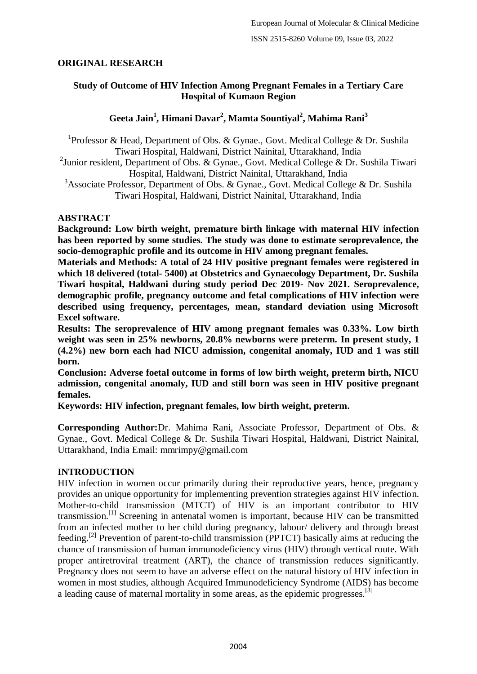# **ORIGINAL RESEARCH**

# **Study of Outcome of HIV Infection Among Pregnant Females in a Tertiary Care Hospital of Kumaon Region**

# **Geeta Jain<sup>1</sup> , Himani Davar<sup>2</sup> , Mamta Sountiyal<sup>2</sup> , Mahima Rani<sup>3</sup>**

<sup>1</sup>Professor & Head, Department of Obs. & Gynae., Govt. Medical College & Dr. Sushila Tiwari Hospital, Haldwani, District Nainital, Uttarakhand, India <sup>2</sup> Junior resident, Department of Obs. & Gynae., Govt. Medical College & Dr. Sushila Tiwari

Hospital, Haldwani, District Nainital, Uttarakhand, India

<sup>3</sup>Associate Professor, Department of Obs. & Gynae., Govt. Medical College & Dr. Sushila Tiwari Hospital, Haldwani, District Nainital, Uttarakhand, India

# **ABSTRACT**

**Background: Low birth weight, premature birth linkage with maternal HIV infection has been reported by some studies. The study was done to estimate seroprevalence, the socio-demographic profile and its outcome in HIV among pregnant females.**

**Materials and Methods: A total of 24 HIV positive pregnant females were registered in which 18 delivered (total- 5400) at Obstetrics and Gynaecology Department, Dr. Sushila Tiwari hospital, Haldwani during study period Dec 2019- Nov 2021. Seroprevalence, demographic profile, pregnancy outcome and fetal complications of HIV infection were described using frequency, percentages, mean, standard deviation using Microsoft Excel software.**

**Results: The seroprevalence of HIV among pregnant females was 0.33%. Low birth**  weight was seen in 25% newborns, 20.8% newborns were preterm. In present study, 1 **(4.2%) new born each had NICU admission, congenital anomaly, IUD and 1 was still born.**

**Conclusion: Adverse foetal outcome in forms of low birth weight, preterm birth, NICU admission, congenital anomaly, IUD and still born was seen in HIV positive pregnant females.**

**Keywords: HIV infection, pregnant females, low birth weight, preterm.**

**Corresponding Author:**Dr. Mahima Rani, Associate Professor, Department of Obs. & Gynae., Govt. Medical College & Dr. Sushila Tiwari Hospital, Haldwani, District Nainital, Uttarakhand, India Email: mmrimpy@gmail.com

# **INTRODUCTION**

HIV infection in women occur primarily during their reproductive years, hence, pregnancy provides an unique opportunity for implementing prevention strategies against HIV infection. Mother-to-child transmission (MTCT) of HIV is an important contributor to HIV transmission.[1] Screening in antenatal women is important, because HIV can be transmitted from an infected mother to her child during pregnancy, labour/ delivery and through breast feeding.<sup>[2]</sup> Prevention of parent-to-child transmission (PPTCT) basically aims at reducing the chance of transmission of human immunodeficiency virus (HIV) through vertical route. With proper antiretroviral treatment (ART), the chance of transmission reduces significantly. Pregnancy does not seem to have an adverse effect on the natural history of HIV infection in women in most studies, although Acquired Immunodeficiency Syndrome (AIDS) has become a leading cause of maternal mortality in some areas, as the epidemic progresses.[3]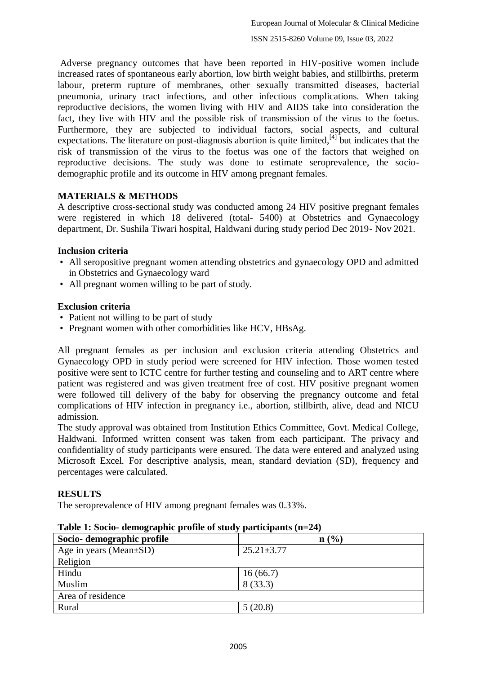Adverse pregnancy outcomes that have been reported in HIV-positive women include increased rates of spontaneous early abortion, low birth weight babies, and stillbirths, preterm labour, preterm rupture of membranes, other sexually transmitted diseases, bacterial pneumonia, urinary tract infections, and other infectious complications. When taking reproductive decisions, the women living with HIV and AIDS take into consideration the fact, they live with HIV and the possible risk of transmission of the virus to the foetus. Furthermore, they are subjected to individual factors, social aspects, and cultural expectations. The literature on post-diagnosis abortion is quite limited, $^{[4]}$  but indicates that the risk of transmission of the virus to the foetus was one of the factors that weighed on reproductive decisions. The study was done to estimate seroprevalence, the sociodemographic profile and its outcome in HIV among pregnant females.

# **MATERIALS & METHODS**

A descriptive cross-sectional study was conducted among 24 HIV positive pregnant females were registered in which 18 delivered (total- 5400) at Obstetrics and Gynaecology department, Dr. Sushila Tiwari hospital, Haldwani during study period Dec 2019- Nov 2021.

# **Inclusion criteria**

- All seropositive pregnant women attending obstetrics and gynaecology OPD and admitted in Obstetrics and Gynaecology ward
- All pregnant women willing to be part of study.

# **Exclusion criteria**

- Patient not willing to be part of study
- Pregnant women with other comorbidities like HCV, HBsAg.

All pregnant females as per inclusion and exclusion criteria attending Obstetrics and Gynaecology OPD in study period were screened for HIV infection. Those women tested positive were sent to ICTC centre for further testing and counseling and to ART centre where patient was registered and was given treatment free of cost. HIV positive pregnant women were followed till delivery of the baby for observing the pregnancy outcome and fetal complications of HIV infection in pregnancy i.e., abortion, stillbirth, alive, dead and NICU admission.

The study approval was obtained from Institution Ethics Committee, Govt. Medical College, Haldwani. Informed written consent was taken from each participant. The privacy and confidentiality of study participants were ensured. The data were entered and analyzed using Microsoft Excel. For descriptive analysis, mean, standard deviation (SD), frequency and percentages were calculated.

# **RESULTS**

The seroprevalence of HIV among pregnant females was 0.33%.

| Socio-demographic profile | n(%)             |
|---------------------------|------------------|
| Age in years (Mean±SD)    | $25.21 \pm 3.77$ |
| Religion                  |                  |
| Hindu                     | 16(66.7)         |
| Muslim                    | 8(33.3)          |
| Area of residence         |                  |
| Rural                     | 5(20.8)          |

|  |  |  | Table 1: Socio- demographic profile of study participants $(n=24)$ |  |
|--|--|--|--------------------------------------------------------------------|--|
|  |  |  |                                                                    |  |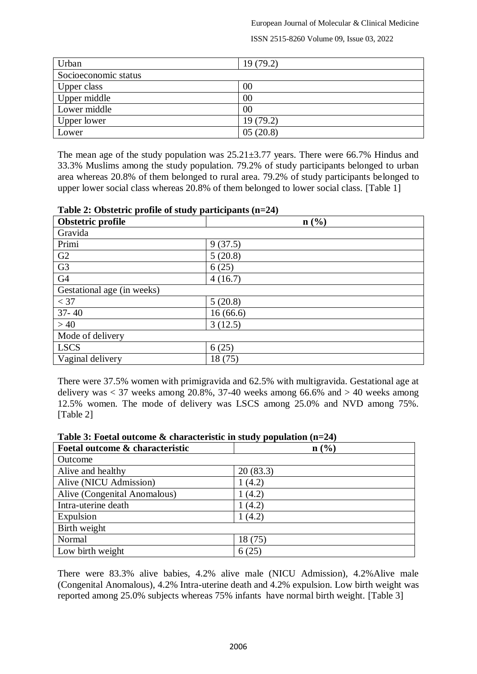European Journal of Molecular & Clinical Medicine

ISSN 2515-8260 Volume 09, Issue 03, 2022

| Urban                | 19(79.2) |
|----------------------|----------|
| Socioeconomic status |          |
| Upper class          | 00       |
| Upper middle         | 00       |
| Lower middle         | 00       |
| Upper lower          | 19(79.2) |
| Lower                | 05(20.8) |

The mean age of the study population was  $25.21 \pm 3.77$  years. There were 66.7% Hindus and 33.3% Muslims among the study population. 79.2% of study participants belonged to urban area whereas 20.8% of them belonged to rural area. 79.2% of study participants belonged to upper lower social class whereas 20.8% of them belonged to lower social class. [Table 1]

| rable $\blacksquare$ . Obsecute prome or state, participants $(II - \blacksquare I)$ |          |  |
|--------------------------------------------------------------------------------------|----------|--|
| Obstetric profile                                                                    | n(%)     |  |
| Gravida                                                                              |          |  |
| Primi                                                                                | 9(37.5)  |  |
| G2                                                                                   | 5(20.8)  |  |
| G <sub>3</sub>                                                                       | 6(25)    |  |
| G4                                                                                   | 4(16.7)  |  |
| Gestational age (in weeks)                                                           |          |  |
| $<$ 37                                                                               | 5(20.8)  |  |
| $37 - 40$                                                                            | 16(66.6) |  |
| >40                                                                                  | 3(12.5)  |  |
| Mode of delivery                                                                     |          |  |
| <b>LSCS</b>                                                                          | 6(25)    |  |
| Vaginal delivery                                                                     | 18(75)   |  |

#### **Table 2: Obstetric profile of study participants (n=24)**

There were 37.5% women with primigravida and 62.5% with multigravida. Gestational age at delivery was  $<$  37 weeks among 20.8%, 37-40 weeks among 66.6% and  $>$  40 weeks among 12.5% women. The mode of delivery was LSCS among 25.0% and NVD among 75%. [Table 2]

| Foetal outcome & characteristic | $\mathbf{n}(\%)$ |
|---------------------------------|------------------|
| Outcome                         |                  |
| Alive and healthy               | 20(83.3)         |
| Alive (NICU Admission)          | 1(4.2)           |
| Alive (Congenital Anomalous)    | 1(4.2)           |
| Intra-uterine death             | 1(4.2)           |
| Expulsion                       | 1(4.2)           |
| Birth weight                    |                  |
| Normal                          | 18 (75)          |
| Low birth weight                |                  |

| Table 3: Foetal outcome $\&$ characteristic in study population (n=24) |  |  |
|------------------------------------------------------------------------|--|--|
|------------------------------------------------------------------------|--|--|

There were 83.3% alive babies, 4.2% alive male (NICU Admission), 4.2%Alive male (Congenital Anomalous), 4.2% Intra-uterine death and 4.2% expulsion. Low birth weight was reported among 25.0% subjects whereas 75% infants have normal birth weight. [Table 3]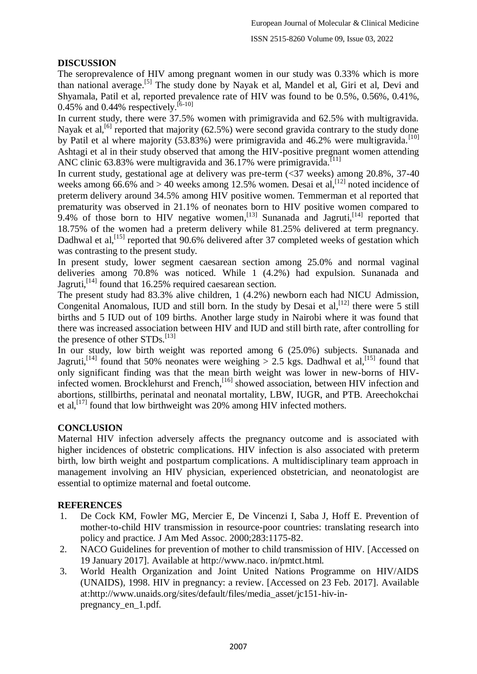# **DISCUSSION**

The seroprevalence of HIV among pregnant women in our study was 0.33% which is more than national average.<sup>[5]</sup> The study done by Nayak et al, Mandel et al, Giri et al, Devi and Shyamala, Patil et al, reported prevalence rate of HIV was found to be 0.5%, 0.56%, 0.41%, 0.45% and 0.44% respectively.  $[6-10]$ 

In current study, there were 37.5% women with primigravida and 62.5% with multigravida. Nayak et al,<sup>[6]</sup> reported that majority (62.5%) were second gravida contrary to the study done by Patil et al where majority (53.83%) were primigravida and 46.2% were multigravida.<sup>[10]</sup> Ashtagi et al in their study observed that among the HIV-positive pregnant women attending ANC clinic 63.83% were multigravida and 36.17% were primigravida.<sup>[11]</sup>

In current study, gestational age at delivery was pre-term (<37 weeks) among 20.8%, 37-40 weeks among  $66.6\%$  and  $> 40$  weeks among 12.5% women. Desai et al, <sup>[12]</sup> noted incidence of preterm delivery around 34.5% among HIV positive women. Temmerman et al reported that prematurity was observed in 21.1% of neonates born to HIV positive women compared to 9.4% of those born to HIV negative women,  $^{[13]}$  Sunanada and Jagruti,  $^{[14]}$  reported that 18.75% of the women had a preterm delivery while 81.25% delivered at term pregnancy. Dadhwal et al,<sup>[15]</sup> reported that 90.6% delivered after 37 completed weeks of gestation which was contrasting to the present study.

In present study, lower segment caesarean section among 25.0% and normal vaginal deliveries among 70.8% was noticed. While 1 (4.2%) had expulsion. Sunanada and Jagruti,<sup>[14]</sup> found that 16.25% required caesarean section.

The present study had 83.3% alive children, 1 (4.2%) newborn each had NICU Admission, Congenital Anomalous, IUD and still born. In the study by Desai et al,<sup>[12]</sup> there were 5 still births and 5 IUD out of 109 births. Another large study in Nairobi where it was found that there was increased association between HIV and IUD and still birth rate, after controlling for the presence of other STDs.<sup>[13]</sup>

In our study, low birth weight was reported among 6 (25.0%) subjects. Sunanada and Jagruti,<sup>[14]</sup> found that 50% neonates were weighing > 2.5 kgs. Dadhwal et al,<sup>[15]</sup> found that only significant finding was that the mean birth weight was lower in new-borns of HIVinfected women. Brocklehurst and French, [16] showed association, between HIV infection and abortions, stillbirths, perinatal and neonatal mortality, LBW, IUGR, and PTB. Areechokchai et al,<sup>[17]</sup> found that low birthweight was 20% among HIV infected mothers.

# **CONCLUSION**

Maternal HIV infection adversely affects the pregnancy outcome and is associated with higher incidences of obstetric complications. HIV infection is also associated with preterm birth, low birth weight and postpartum complications. A multidisciplinary team approach in management involving an HIV physician, experienced obstetrician, and neonatologist are essential to optimize maternal and foetal outcome.

# **REFERENCES**

- 1. De Cock KM, Fowler MG, Mercier E, De Vincenzi I, Saba J, Hoff E. Prevention of mother-to-child HIV transmission in resource-poor countries: translating research into policy and practice. J Am Med Assoc. 2000;283:1175-82.
- 2. NACO Guidelines for prevention of mother to child transmission of HIV. [Accessed on 19 January 2017]. Available at http://www.naco. in/pmtct.html.
- 3. World Health Organization and Joint United Nations Programme on HIV/AIDS (UNAIDS), 1998. HIV in pregnancy: a review. [Accessed on 23 Feb. 2017]. Available at:http://www.unaids.org/sites/default/files/media\_asset/jc151-hiv-inpregnancy\_en\_1.pdf.